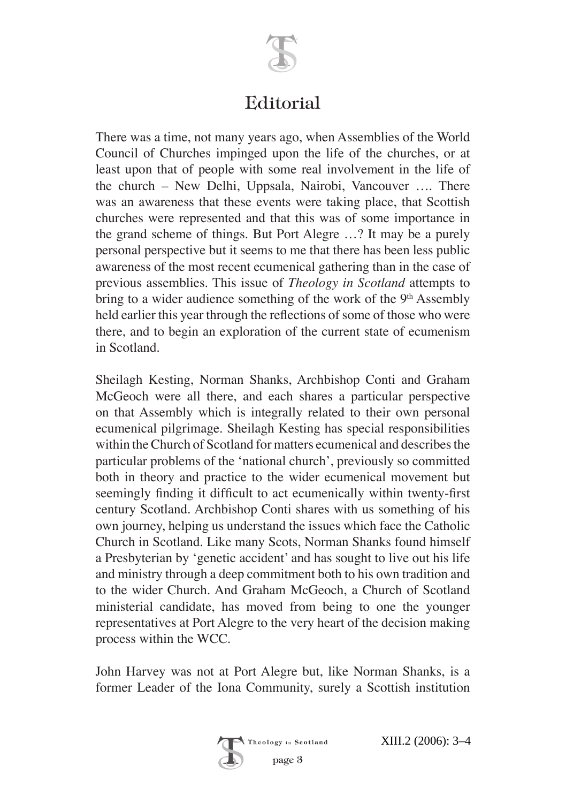

## **Editorial**

There was a time, not many years ago, when Assemblies of the World Council of Churches impinged upon the life of the churches, or at least upon that of people with some real involvement in the life of the church – New Delhi, Uppsala, Nairobi, Vancouver …. There was an awareness that these events were taking place, that Scottish churches were represented and that this was of some importance in the grand scheme of things. But Port Alegre …? It may be a purely personal perspective but it seems to me that there has been less public awareness of the most recent ecumenical gathering than in the case of previous assemblies. This issue of *Theology in Scotland* attempts to bring to a wider audience something of the work of the 9<sup>th</sup> Assembly held earlier this year through the reflections of some of those who were there, and to begin an exploration of the current state of ecumenism in Scotland.

Sheilagh Kesting, Norman Shanks, Archbishop Conti and Graham McGeoch were all there, and each shares a particular perspective on that Assembly which is integrally related to their own personal ecumenical pilgrimage. Sheilagh Kesting has special responsibilities within the Church of Scotland for matters ecumenical and describes the particular problems of the 'national church', previously so committed both in theory and practice to the wider ecumenical movement but seemingly finding it difficult to act ecumenically within twenty-first century Scotland. Archbishop Conti shares with us something of his own journey, helping us understand the issues which face the Catholic Church in Scotland. Like many Scots, Norman Shanks found himself a Presbyterian by 'genetic accident' and has sought to live out his life and ministry through a deep commitment both to his own tradition and to the wider Church. And Graham McGeoch, a Church of Scotland ministerial candidate, has moved from being to one the younger representatives at Port Alegre to the very heart of the decision making process within the WCC.

John Harvey was not at Port Alegre but, like Norman Shanks, is a former Leader of the Iona Community, surely a Scottish institution



XIII.2 (2006): 3–4